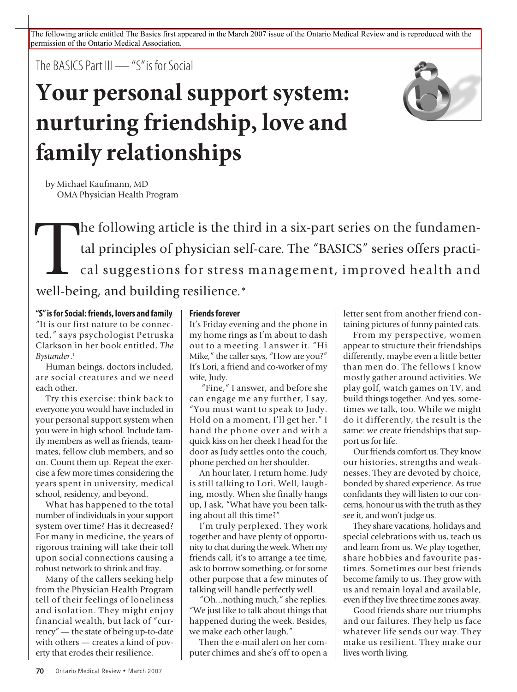The following article entitled The Basics first appeared in the March 2007 issue of the Ontario Medical Review and is reproduced with the permission of the Ontario Medical Association.

The BASICS Part III — "S" is for Social

# **Your personal support system: nurturing friendship, love and family relationships**



by Michael Kaufmann, MD OMA Physician Health Program

The following article is the third in a six-part series on the fundamental principles of physician self-care. The "BASICS" series offers practical suggestions for stress management, improved health and well being and build tal principles of physician self-care. The "BASICS" series offers practical suggestions for stress management, improved health and well-being, and building resilience.\*

**"S"isforSocial:friends, lovers and family**

"It is our first nature to be connected," says psychologist Petruska Clarkson in her book entitled, *The Bystander*. 1

Human beings, doctors included, are social creatures and we need each other.

Try this exercise: think back to everyone you would have included in your personal support system when you were in high school. Include family members as well as friends, teammates, fellow club members, and so on. Count them up. Repeat the exercise a few more times considering the years spent in university, medical school, residency, and beyond.

What has happened to the total number of individuals in your support system over time? Has it decreased? For many in medicine, the years of rigorous training will take their toll upon social connections causing a robust network to shrink and fray.

Many of the callers seeking help from the Physician Health Program tell of their feelings of loneliness and isolation. They might enjoy financial wealth, but lack of "currency" — the state of being up-to-date with others — creates a kind of poverty that erodes their resilience.

## **Friendsforever**

It's Friday evening and the phone in my home rings as I'm about to dash out to a meeting. I answer it. "Hi Mike," the caller says, "How are you?" It's Lori, a friend and co-worker of my wife, Judy.

"Fine," I answer, and before she can engage me any further, I say, "You must want to speak to Judy. Hold on a moment, I'll get her." I hand the phone over and with a quick kiss on her cheek I head for the door as Judy settles onto the couch, phone perched on her shoulder.

An hour later, I return home. Judy is still talking to Lori. Well, laughing, mostly. When she finally hangs up, I ask, "What have you been talking about all this time?"

I'm truly perplexed. They work together and have plenty of opportunity to chat during the week. When my friends call, it's to arrange a tee time, ask to borrow something, or for some other purpose that a few minutes of talking will handle perfectly well.

"Oh...nothing much," she replies. "We just like to talk about things that happened during the week. Besides, we make each other laugh."

Then the e-mail alert on her computer chimes and she's off to open a letter sent from another friend containing pictures of funny painted cats.

From my perspective, women appear to structure their friendships differently, maybe even a little better than men do. The fellows I know mostly gather around activities. We play golf, watch games on TV, and build things together. And yes, sometimes we talk, too. While we might do it differently, the result is the same: we create friendships that support us for life.

Our friends comfort us. They know our histories, strengths and weaknesses. They are devoted by choice, bonded by shared experience. As true confidants they will listen to our concerns, honour us with the truth asthey see it, and won't judge us.

They share vacations, holidays and special celebrations with us, teach us and learn from us. We play together, share hobbies and favourite pastimes. Sometimes our best friends become family to us. They grow with us and remain loyal and available, even if they live three time zones away.

Good friends share our triumphs and our failures. They help us face whatever life sends our way. They make us resilient. They make our lives worth living.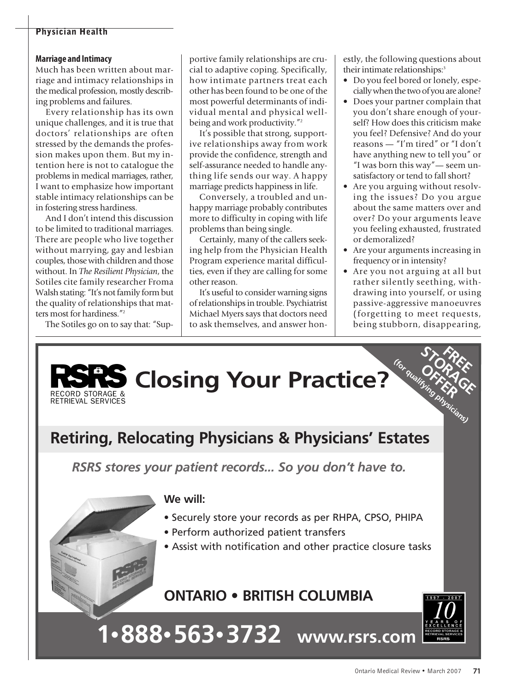# **Physician Health**

#### **Marriage and Intimacy**

Much has been written about marriage and intimacy relationships in the medical profession, mostly describing problems and failures.

Every relationship has its own unique challenges, and it is true that doctors' relationships are often stressed by the demands the profession makes upon them. But my intention here is not to catalogue the problems in medical marriages, rather, I want to emphasize how important stable intimacy relationships can be in fostering stress hardiness.

And I don't intend this discussion to be limited to traditional marriages. There are people who live together without marrying, gay and lesbian couples, those with children and those without. In *The Resilient Physician*, the Sotiles cite family researcher Froma Walsh stating: "It's not family form but the quality of relationships that matters most for hardiness."<sup>2</sup>

The Sotiles go on to say that: "Sup-

portive family relationships are crucial to adaptive coping. Specifically, how intimate partners treat each other has been found to be one of the most powerful determinants of individual mental and physical wellbeing and work productivity."<sup>2</sup>

It's possible that strong, supportive relationships away from work provide the confidence, strength and self-assurance needed to handle anything life sends our way. A happy marriage predicts happiness in life.

Conversely, a troubled and unhappy marriage probably contributes more to difficulty in coping with life problems than being single.

Certainly, many of the callers seeking help from the Physician Health Program experience marital difficulties, even if they are calling for some other reason.

It's useful to consider warning signs of relationships in trouble. Psychiatrist Michael Myers says that doctors need to ask themselves, and answer honestly, the following questions about their intimate relationships:<sup>3</sup>

- Do you feel bored or lonely, especially when the two of you are alone?
- Does your partner complain that you don't share enough of yourself? How does this criticism make you feel? Defensive? And do your reasons — "I'm tired" or "I don't have anything new to tell you" or "I was born this way"— seem unsatisfactory or tend to fall short?
- Are you arguing without resolving the issues? Do you argue about the same matters over and over? Do your arguments leave you feeling exhausted, frustrated or demoralized?
- Are your arguments increasing in frequency or in intensity?
- Are you not arguing at all but rather silently seething, withdrawing into yourself, or using passive-aggressive manoeuvres (forgetting to meet requests, being stubborn, disappearing,

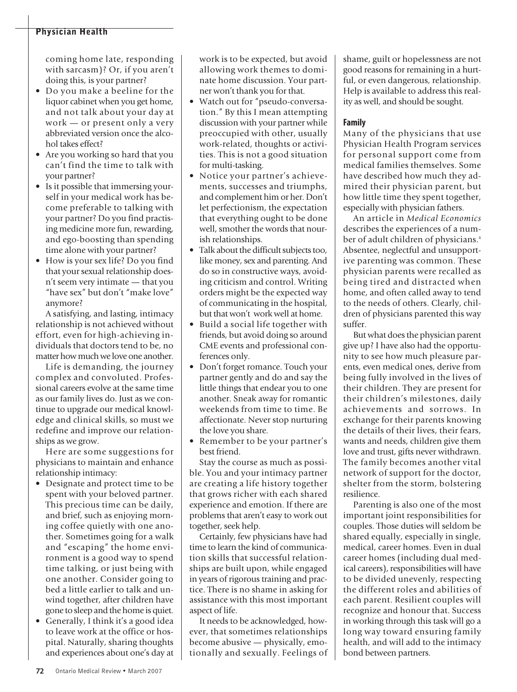# **Physician Health**

coming home late, responding with sarcasm)? Or, if you aren't doing this, is your partner?

- Do you make a beeline for the liquor cabinet when you get home, and not talk about your day at work — or present only a very abbreviated version once the alcohol takes effect?
- Are you working so hard that you can't find the time to talk with your partner?
- Is it possible that immersing yourself in your medical work has become preferable to talking with your partner? Do you find practising medicine more fun, rewarding, and ego-boosting than spending time alone with your partner?
- How is your sex life? Do you find that your sexual relationship doesn't seem very intimate — that you "have sex" but don't "make love" anymore?

A satisfying, and lasting, intimacy relationship is not achieved without effort, even for high-achieving individuals that doctors tend to be, no matter how much we love one another.

Life is demanding, the journey complex and convoluted. Professional careers evolve at the same time as our family lives do. Just as we continue to upgrade our medical knowledge and clinical skills, so must we redefine and improve our relationships as we grow.

Here are some suggestions for physicians to maintain and enhance relationship intimacy:

- Designate and protect time to be spent with your beloved partner. This precious time can be daily, and brief, such as enjoying morning coffee quietly with one another. Sometimes going for a walk and "escaping" the home environment is a good way to spend time talking, or just being with one another. Consider going to bed a little earlier to talk and unwind together, after children have gone to sleep and the home is quiet.
- Generally, I think it's a good idea to leave work at the office or hospital. Naturally, sharing thoughts and experiences about one's day at

work is to be expected, but avoid allowing work themes to dominate home discussion. Your partner won't thank you for that.

- Watch out for "pseudo-conversation." By this I mean attempting discussion with your partner while preoccupied with other, usually work-related, thoughts or activities. This is not a good situation for multi-tasking.
- Notice your partner's achievements, successes and triumphs, and complement him or her. Don't let perfectionism, the expectation that everything ought to be done well, smother the words that nourish relationships.
- Talk about the difficult subjects too, like money, sex and parenting. And do so in constructive ways, avoiding criticism and control. Writing orders might be the expected way of communicating in the hospital, but that won't work well at home.
- Build a social life together with friends, but avoid doing so around CME events and professional conferences only.
- Don't forget romance. Touch your partner gently and do and say the little things that endear you to one another. Sneak away for romantic weekends from time to time. Be affectionate. Never stop nurturing the love you share.
- Remember to be your partner's best friend.

Stay the course as much as possible. You and your intimacy partner are creating a life history together that grows richer with each shared experience and emotion. If there are problems that aren't easy to work out together, seek help.

Certainly, few physicians have had time to learn the kind of communication skills that successful relationships are built upon, while engaged in years of rigorous training and practice. There is no shame in asking for assistance with this most important aspect of life.

It needs to be acknowledged, however, that sometimes relationships become abusive — physically, emotionally and sexually. Feelings of shame, guilt or hopelessness are not good reasons for remaining in a hurtful, or even dangerous, relationship. Help is available to address this reality as well, and should be sought.

## **Family**

Many of the physicians that use Physician Health Program services for personal support come from medical families themselves. Some have described how much they admired their physician parent, but how little time they spent together, especially with physician fathers.

An article in *Medical Economics* describes the experiences of a number of adult children of physicians. 4 Absentee, neglectful and unsupportive parenting was common. These physician parents were recalled as being tired and distracted when home, and often called away to tend to the needs of others. Clearly, children of physicians parented this way suffer.

But what does the physician parent give up? I have also had the opportunity to see how much pleasure parents, even medical ones, derive from being fully involved in the lives of their children. They are present for their children's milestones, daily achievements and sorrows. In exchange for their parents knowing the details of their lives, their fears, wants and needs, children give them love and trust, gifts never withdrawn. The family becomes another vital network of support for the doctor, shelter from the storm, bolstering resilience.

Parenting is also one of the most important joint responsibilities for couples. Those duties will seldom be shared equally, especially in single, medical, career homes. Even in dual career homes (including dual medical careers), responsibilities will have to be divided unevenly, respecting the different roles and abilities of each parent. Resilient couples will recognize and honour that. Success in working through this task will go a long way toward ensuring family health, and will add to the intimacy bond between partners.